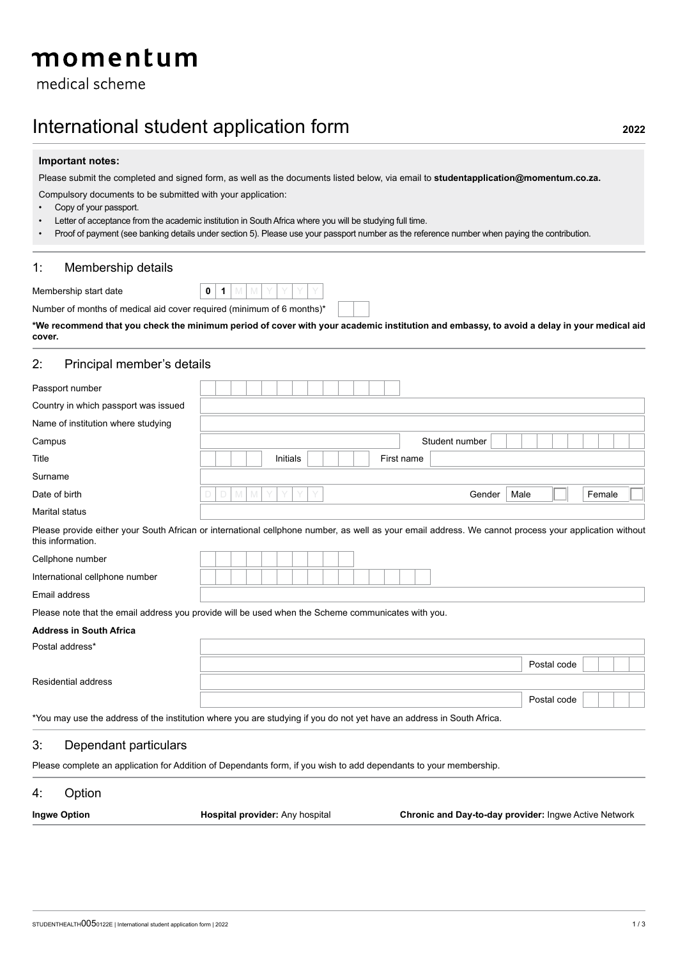# momentum

medical scheme

## International student application form **<sup>2022</sup>**

#### **Important notes:**

Please submit the completed and signed form, as well as the documents listed below, via email to **studentapplication@momentum.co.za.**

Compulsory documents to be submitted with your application:

- Copy of your passport.
- Letter of acceptance from the academic institution in South Africa where you will be studying full time.
- Proof of payment (see banking details under section 5). Please use your passport number as the reference number when paying the contribution.

#### 1: Membership details

Membership start date **0** 1

|  |  |  |  | Number of months of medical aid cover required (minimum of 6 months)* |  |
|--|--|--|--|-----------------------------------------------------------------------|--|
|  |  |  |  |                                                                       |  |

**\*We recommend that you check the minimum period of cover with your academic institution and embassy, to avoid a delay in your medical aid cover.**

#### 2: Principal member's details

| Passport number                      |                                                                                                                                                       |        |
|--------------------------------------|-------------------------------------------------------------------------------------------------------------------------------------------------------|--------|
| Country in which passport was issued |                                                                                                                                                       |        |
| Name of institution where studying   |                                                                                                                                                       |        |
| Campus                               | Student number                                                                                                                                        |        |
| Title                                | First name<br>Initials                                                                                                                                |        |
| Surname                              |                                                                                                                                                       |        |
| Date of birth                        | Y<br>Gender<br>Male<br>D.<br>M                                                                                                                        | Female |
| Marital status                       |                                                                                                                                                       |        |
| this information.                    | Please provide either your South African or international cellphone number, as well as your email address. We cannot process your application without |        |
| Cellphone number                     |                                                                                                                                                       |        |
| International cellphone number       |                                                                                                                                                       |        |
| Email address                        |                                                                                                                                                       |        |
|                                      | Please note that the email address you provide will be used when the Scheme communicates with you.                                                    |        |
| <b>Address in South Africa</b>       |                                                                                                                                                       |        |
| Postal address*                      |                                                                                                                                                       |        |
|                                      | Postal code                                                                                                                                           |        |
| <b>Residential address</b>           |                                                                                                                                                       |        |
|                                      | Postal code                                                                                                                                           |        |
|                                      | *You may use the address of the institution where you are studying if you do not yet have an address in South Africa.                                 |        |
| 3:<br>Dependant particulars          |                                                                                                                                                       |        |

Please complete an application for Addition of Dependants form, if you wish to add dependants to your membership.

### 4: Option

| <b>Ingwe Option</b> | <b>Hospital provider:</b> Any hospital | <b>Chronic and Day-to-day provider: Ingwe Active Network</b> |
|---------------------|----------------------------------------|--------------------------------------------------------------|
|                     |                                        |                                                              |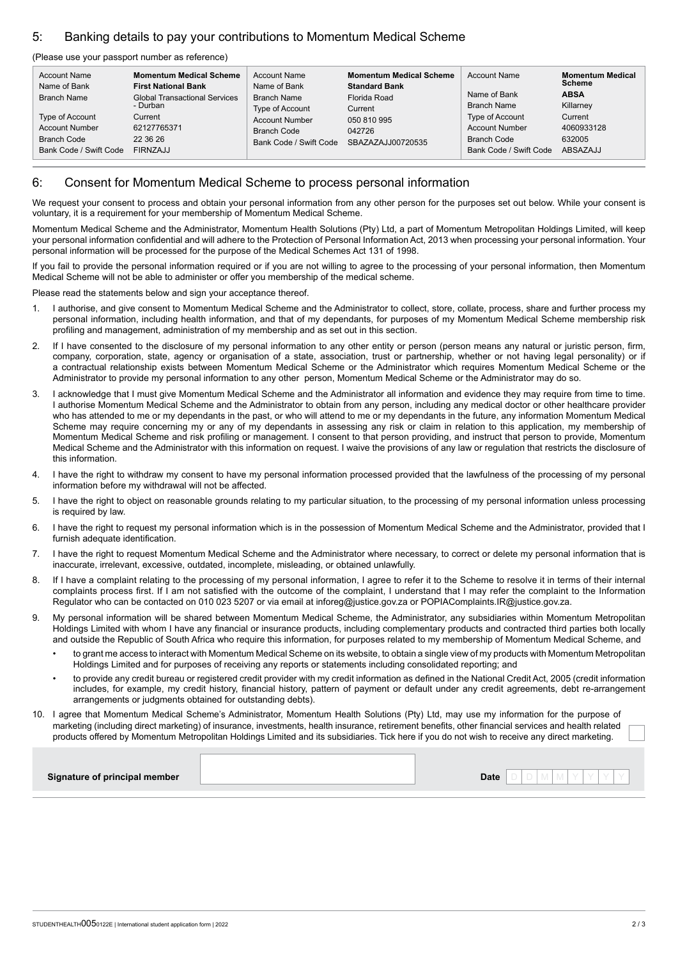### 5: Banking details to pay your contributions to Momentum Medical Scheme

#### (Please use your passport number as reference)

| <b>Account Name</b>                                                                              | <b>Momentum Medical Scheme</b>                                                                     | <b>Account Name</b>                                                                                     | <b>Momentum Medical Scheme</b>                                        | <b>Account Name</b>                                                                                                     | <b>Momentum Medical</b>                                                 |
|--------------------------------------------------------------------------------------------------|----------------------------------------------------------------------------------------------------|---------------------------------------------------------------------------------------------------------|-----------------------------------------------------------------------|-------------------------------------------------------------------------------------------------------------------------|-------------------------------------------------------------------------|
| Name of Bank                                                                                     | <b>First National Bank</b>                                                                         | Name of Bank                                                                                            | <b>Standard Bank</b>                                                  |                                                                                                                         | <b>Scheme</b>                                                           |
| Branch Name<br>Type of Account<br><b>Account Number</b><br>Branch Code<br>Bank Code / Swift Code | <b>Global Transactional Services</b><br>- Durban<br>Current<br>62127765371<br>22 36 26<br>FIRNZAJJ | <b>Branch Name</b><br>Type of Account<br><b>Account Number</b><br>Branch Code<br>Bank Code / Swift Code | Florida Road<br>Current<br>050 810 995<br>042726<br>SBAZAZAJJ00720535 | Name of Bank<br><b>Branch Name</b><br>Type of Account<br><b>Account Number</b><br>Branch Code<br>Bank Code / Swift Code | <b>ABSA</b><br>Killarney<br>Current<br>4060933128<br>632005<br>ABSAZAJJ |

#### 6: Consent for Momentum Medical Scheme to process personal information

We request your consent to process and obtain your personal information from any other person for the purposes set out below. While your consent is voluntary, it is a requirement for your membership of Momentum Medical Scheme.

Momentum Medical Scheme and the Administrator, Momentum Health Solutions (Pty) Ltd, a part of Momentum Metropolitan Holdings Limited, will keep your personal information confidential and will adhere to the Protection of Personal Information Act, 2013 when processing your personal information. Your personal information will be processed for the purpose of the Medical Schemes Act 131 of 1998.

If you fail to provide the personal information required or if you are not willing to agree to the processing of your personal information, then Momentum Medical Scheme will not be able to administer or offer you membership of the medical scheme.

Please read the statements below and sign your acceptance thereof.

- 1. I authorise, and give consent to Momentum Medical Scheme and the Administrator to collect, store, collate, process, share and further process my personal information, including health information, and that of my dependants, for purposes of my Momentum Medical Scheme membership risk profiling and management, administration of my membership and as set out in this section.
- 2. If I have consented to the disclosure of my personal information to any other entity or person (person means any natural or juristic person, firm, company, corporation, state, agency or organisation of a state, association, trust or partnership, whether or not having legal personality) or if a contractual relationship exists between Momentum Medical Scheme or the Administrator which requires Momentum Medical Scheme or the Administrator to provide my personal information to any other person, Momentum Medical Scheme or the Administrator may do so.
- 3. I acknowledge that I must give Momentum Medical Scheme and the Administrator all information and evidence they may require from time to time. I authorise Momentum Medical Scheme and the Administrator to obtain from any person, including any medical doctor or other healthcare provider who has attended to me or my dependants in the past, or who will attend to me or my dependants in the future, any information Momentum Medical Scheme may require concerning my or any of my dependants in assessing any risk or claim in relation to this application, my membership of Momentum Medical Scheme and risk profiling or management. I consent to that person providing, and instruct that person to provide, Momentum Medical Scheme and the Administrator with this information on request. I waive the provisions of any law or regulation that restricts the disclosure of this information.
- 4. I have the right to withdraw my consent to have my personal information processed provided that the lawfulness of the processing of my personal information before my withdrawal will not be affected.
- 5. I have the right to object on reasonable grounds relating to my particular situation, to the processing of my personal information unless processing is required by law.
- 6. I have the right to request my personal information which is in the possession of Momentum Medical Scheme and the Administrator, provided that I furnish adequate identification.
- 7. I have the right to request Momentum Medical Scheme and the Administrator where necessary, to correct or delete my personal information that is inaccurate, irrelevant, excessive, outdated, incomplete, misleading, or obtained unlawfully.
- 8. If I have a complaint relating to the processing of my personal information, I agree to refer it to the Scheme to resolve it in terms of their internal complaints process first. If I am not satisfied with the outcome of the complaint, I understand that I may refer the complaint to the Information Regulator who can be contacted on 010 023 5207 or via email at inforeg@justice.gov.za or POPIAComplaints.IR@justice.gov.za.
- 9. My personal information will be shared between Momentum Medical Scheme, the Administrator, any subsidiaries within Momentum Metropolitan Holdings Limited with whom I have any financial or insurance products, including complementary products and contracted third parties both locally and outside the Republic of South Africa who require this information, for purposes related to my membership of Momentum Medical Scheme, and
	- to grant me access to interact with Momentum Medical Scheme on its website, to obtain a single view of my products with Momentum Metropolitan Holdings Limited and for purposes of receiving any reports or statements including consolidated reporting; and
	- to provide any credit bureau or registered credit provider with my credit information as defined in the National Credit Act, 2005 (credit information includes, for example, my credit history, financial history, pattern of payment or default under any credit agreements, debt re-arrangement arrangements or judgments obtained for outstanding debts).
- 10. I agree that Momentum Medical Scheme's Administrator, Momentum Health Solutions (Pty) Ltd, may use my information for the purpose of marketing (including direct marketing) of insurance, investments, health insurance, retirement benefits, other financial services and health related products offered by Momentum Metropolitan Holdings Limited and its subsidiaries. Tick here if you do not wish to receive any direct marketing.

| <b>Date</b><br>Signature of principal member |
|----------------------------------------------|
|----------------------------------------------|